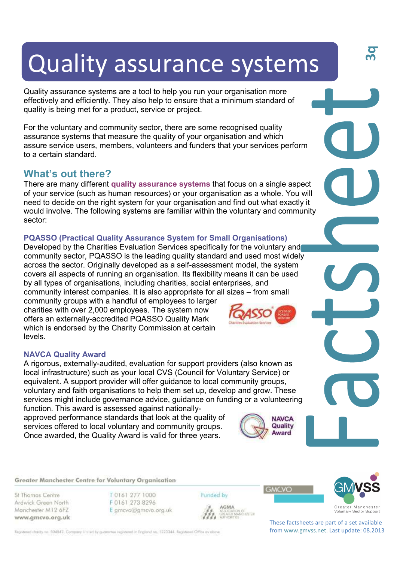# Quality assurance systems

Quality assurance systems are a tool to help you run your organisation more effectively and efficiently. They also help to ensure that a minimum standard of quality is being met for a product, service or project.

For the voluntary and community sector, there are some recognised quality assurance systems that measure the quality of your organisation and which assure service users, members, volunteers and funders that your services perform to a certain standard.

# **What's out there?**

There are many different **quality assurance systems** that focus on a single aspect of your service (such as human resources) or your organisation as a whole. You will need to decide on the right system for your organisation and find out what exactly it would involve. The following systems are familiar within the voluntary and community sector:

# **PQASSO (Practical Quality Assurance System for Small Organisations)**

Developed by the Charities Evaluation Services specifically for the voluntary and community sector, PQASSO is the leading quality standard and used most widely across the sector. Originally developed as a self-assessment model, the system covers all aspects of running an organisation. Its flexibility means it can be used by all types of organisations, including charities, social enterprises, and community interest companies. It is also appropriate for all sizes – from small

community groups with a handful of employees to larger charities with over 2,000 employees. The system now offers an externally-accredited PQASSO Quality Mark which is endorsed by the Charity Commission at certain levels.

## **NAVCA Quality Award**

A rigorous, externally-audited, evaluation for support providers (also known as local infrastructure) such as your local CVS (Council for Voluntary Service) or equivalent. A support provider will offer guidance to local community groups, voluntary and faith organisations to help them set up, develop and grow. These services might include governance advice, guidance on funding or a volunteering function. This award is assessed against nationally-

approved performance standards that look at the quality of services offered to local voluntary and community groups. Once awarded, the Quality Award is valid for three years.



**GMCVO** 

Greater Manchester Centre for Voluntary Organisation

St Thomas Centre Ardwick Green North Manchester M12 6FZ www.gmcvo.org.uk T0161 277 1000 F0161 273 8296 E gmcvo@gmcvo.org.uk Funded by



**3q**

AGMA **AGMA**<br>ASSOCIATION OF<br>GREATER MANCHESTER<br>AUTHORITIES

These factsheets are part of a set available from www.gmvss.net. Last update: 08.2013

Registered charity no. 504542. Company limited by guarantee registered in England no. 1223344. Registered Office as obove

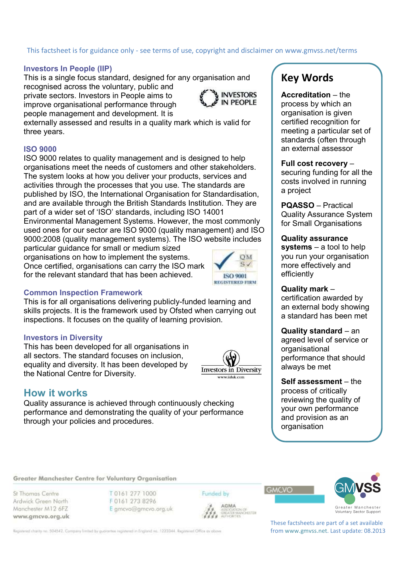# This factsheet is for guidance only - see terms of use, copyright and disclaimer on www.gmvss.net/terms

## **Investors In People (IIP)**

This is a single focus standard, designed for any organisation and recognised across the voluntary, public and

private sectors. Investors in People aims to improve organisational performance through people management and development. It is



externally assessed and results in a quality mark which is valid for three years.

## **ISO 9000**

ISO 9000 relates to quality management and is designed to help organisations meet the needs of customers and other stakeholders. The system looks at how you deliver your products, services and activities through the processes that you use. The standards are published by ISO, the International Organisation for Standardisation, and are available through the British Standards Institution. They are part of a wider set of 'ISO' standards, including ISO 14001 Environmental Management Systems. However, the most commonly used ones for our sector are ISO 9000 (quality management) and ISO

9000:2008 (quality management systems). The ISO website includes particular guidance for small or medium sized

organisations on how to implement the systems. Once certified, organisations can carry the ISO mark for the relevant standard that has been achieved.



## **Common Inspection Framework**

This is for all organisations delivering publicly-funded learning and skills projects. It is the framework used by Ofsted when carrying out inspections. It focuses on the quality of learning provision.

## **Investors in Diversity**

This has been developed for all organisations in all sectors. The standard focuses on inclusion, equality and diversity. It has been developed by the National Centre for Diversity.



# **How it works**

Quality assurance is achieved through continuously checking performance and demonstrating the quality of your performance through your policies and procedures.

# **Key Words**

**Accreditation** – the process by which an organisation is given certified recognition for meeting a particular set of standards (often through an external assessor

**Full cost recovery** – securing funding for all the costs involved in running a project

**PQASSO** – Practical Quality Assurance System for Small Organisations

**Quality assurance systems** – a tool to help you run your organisation more effectively and efficiently

## **Quality mark** –

certification awarded by an external body showing a standard has been met

**Quality standard** – an agreed level of service or organisational performance that should always be met

**Self assessment** – the process of critically reviewing the quality of your own performance and provision as an organisation

Greater Manchester Centre for Voluntary Organisation

St Thomas Centre Ardwick Green North Manchester M12 6FZ www.gmcvo.org.uk T 0161 277 1000 F0161 273 8296 E gmcvo@gmcvo.org.uk

Funded by



GMCVO



These factsheets are part of a set available from www.gmvss.net. Last update: 08.2013

Registered charity no. 504542. Company limited by guarantee registered in England no. 1223344. Registered Office as obove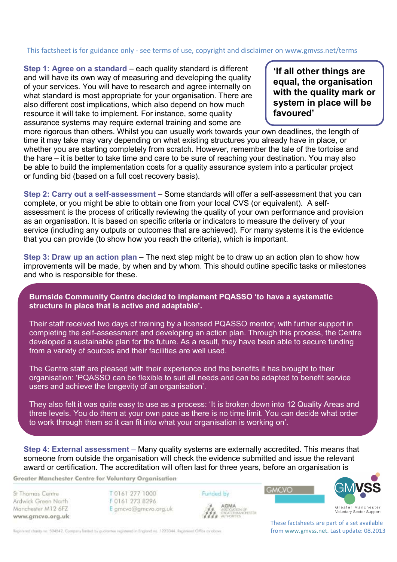# This factsheet is for guidance only - see terms of use, copyright and disclaimer on www.gmvss.net/terms

**Step 1: Agree on a standard** – each quality standard is different and will have its own way of measuring and developing the quality of your services. You will have to research and agree internally on what standard is most appropriate for your organisation. There are also different cost implications, which also depend on how much resource it will take to implement. For instance, some quality assurance systems may require external training and some are

**'If all other things are equal, the organisation with the quality mark or system in place will be favoured'** 

more rigorous than others. Whilst you can usually work towards your own deadlines, the length of time it may take may vary depending on what existing structures you already have in place, or whether you are starting completely from scratch. However, remember the tale of the tortoise and the hare – it is better to take time and care to be sure of reaching your destination. You may also be able to build the implementation costs for a quality assurance system into a particular project or funding bid (based on a full cost recovery basis).

**Step 2: Carry out a self-assessment** – Some standards will offer a self-assessment that you can complete, or you might be able to obtain one from your local CVS (or equivalent). A selfassessment is the process of critically reviewing the quality of your own performance and provision as an organisation. It is based on specific criteria or indicators to measure the delivery of your service (including any outputs or outcomes that are achieved). For many systems it is the evidence that you can provide (to show how you reach the criteria), which is important.

**Step 3: Draw up an action plan** – The next step might be to draw up an action plan to show how improvements will be made, by when and by whom. This should outline specific tasks or milestones and who is responsible for these.

**Burnside Community Centre decided to implement PQASSO 'to have a systematic structure in place that is active and adaptable'.** 

Their staff received two days of training by a licensed PQASSO mentor, with further support in completing the self-assessment and developing an action plan. Through this process, the Centre developed a sustainable plan for the future. As a result, they have been able to secure funding from a variety of sources and their facilities are well used.

The Centre staff are pleased with their experience and the benefits it has brought to their organisation: 'PQASSO can be flexible to suit all needs and can be adapted to benefit service users and achieve the longevity of an organisation'.

They also felt it was quite easy to use as a process: 'It is broken down into 12 Quality Areas and three levels. You do them at your own pace as there is no time limit. You can decide what order to work through them so it can fit into what your organisation is working on'.

**Step 4: External assessment** – Many quality systems are externally accredited. This means that someone from outside the organisation will check the evidence submitted and issue the relevant award or certification. The accreditation will often last for three years, before an organisation is

Greater Manchester Centre for Voluntary Organisation

St Thomas Centre Ardwick Green North Manchester M12 6FZ www.gmcvo.org.uk T0161 277 1000 F0161 273 8296 E gmcvo@gmcvo.org.uk



**GMCVO** 



Voluntary Sector Support

Registered charity no. 504542. Company limited by guarantee registered in England no. 1223344. Registered Office as obove

These factsheets are part of a set available from www.gmvss.net. Last update: 08.2013